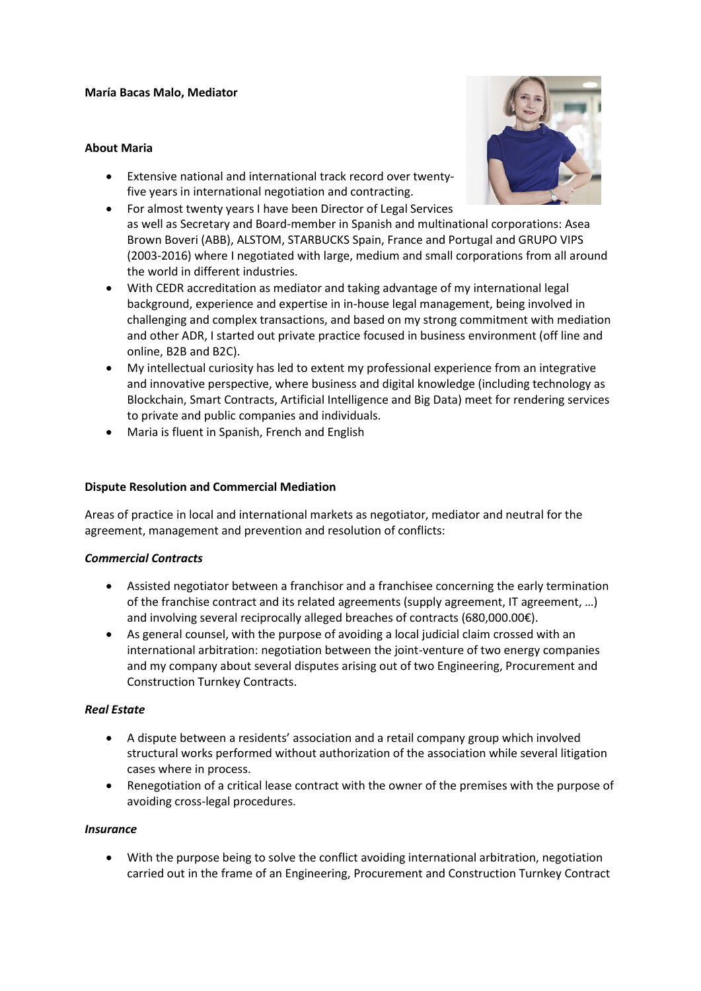#### **María Bacas Malo, Mediator**

#### **About Maria**



- Extensive national and international track record over twentyfive years in international negotiation and contracting.
- For almost twenty years I have been Director of Legal Services as well as Secretary and Board-member in Spanish and multinational corporations: Asea Brown Boveri (ABB), ALSTOM, STARBUCKS Spain, France and Portugal and GRUPO VIPS (2003-2016) where I negotiated with large, medium and small corporations from all around the world in different industries.
- With CEDR accreditation as mediator and taking advantage of my international legal background, experience and expertise in in-house legal management, being involved in challenging and complex transactions, and based on my strong commitment with mediation and other ADR, I started out private practice focused in business environment (off line and online, B2B and B2C).
- My intellectual curiosity has led to extent my professional experience from an integrative and innovative perspective, where business and digital knowledge (including technology as Blockchain, Smart Contracts, Artificial Intelligence and Big Data) meet for rendering services to private and public companies and individuals.
- Maria is fluent in Spanish, French and English

### **Dispute Resolution and Commercial Mediation**

Areas of practice in local and international markets as negotiator, mediator and neutral for the agreement, management and prevention and resolution of conflicts:

#### *Commercial Contracts*

- Assisted negotiator between a franchisor and a franchisee concerning the early termination of the franchise contract and its related agreements (supply agreement, IT agreement, …) and involving several reciprocally alleged breaches of contracts (680,000.00€).
- As general counsel, with the purpose of avoiding a local judicial claim crossed with an international arbitration: negotiation between the joint-venture of two energy companies and my company about several disputes arising out of two Engineering, Procurement and Construction Turnkey Contracts.

# *Real Estate*

- A dispute between a residents' association and a retail company group which involved structural works performed without authorization of the association while several litigation cases where in process.
- Renegotiation of a critical lease contract with the owner of the premises with the purpose of avoiding cross-legal procedures.

#### *Insurance*

• With the purpose being to solve the conflict avoiding international arbitration, negotiation carried out in the frame of an Engineering, Procurement and Construction Turnkey Contract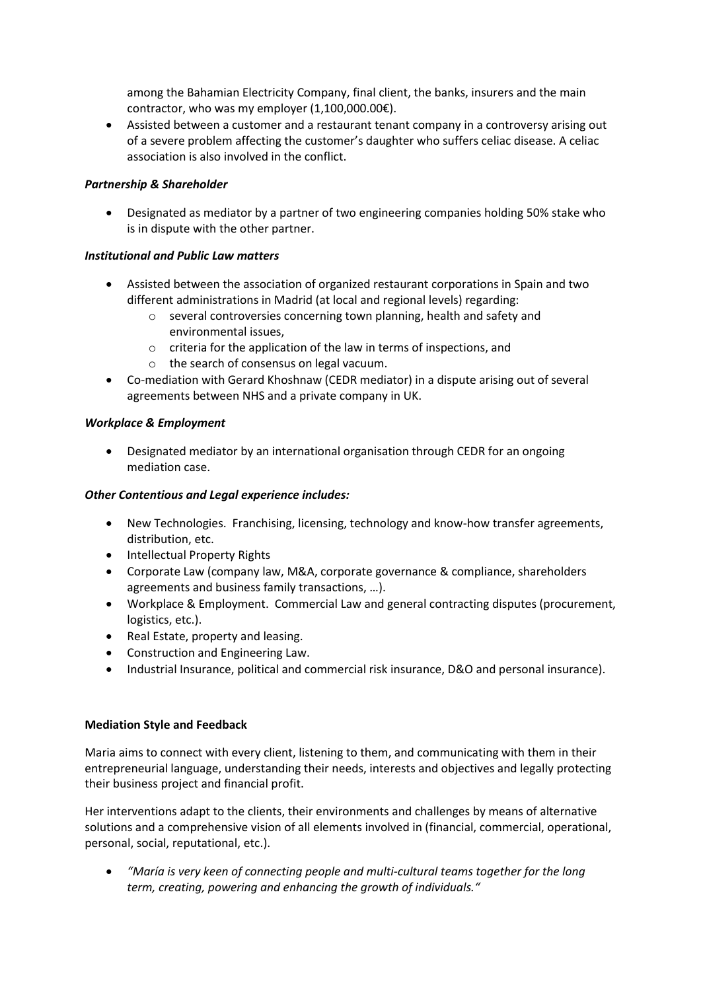among the Bahamian Electricity Company, final client, the banks, insurers and the main contractor, who was my employer (1,100,000.00€).

• Assisted between a customer and a restaurant tenant company in a controversy arising out of a severe problem affecting the customer's daughter who suffers celiac disease. A celiac association is also involved in the conflict.

## *Partnership & Shareholder*

• Designated as mediator by a partner of two engineering companies holding 50% stake who is in dispute with the other partner.

### *Institutional and Public Law matters*

- Assisted between the association of organized restaurant corporations in Spain and two different administrations in Madrid (at local and regional levels) regarding:
	- o several controversies concerning town planning, health and safety and environmental issues,
	- o criteria for the application of the law in terms of inspections, and
	- o the search of consensus on legal vacuum.
- Co-mediation with Gerard Khoshnaw (CEDR mediator) in a dispute arising out of several agreements between NHS and a private company in UK.

### *Workplace & Employment*

• Designated mediator by an international organisation through CEDR for an ongoing mediation case.

### *Other Contentious and Legal experience includes:*

- New Technologies. Franchising, licensing, technology and know-how transfer agreements, distribution, etc.
- Intellectual Property Rights
- Corporate Law (company law, M&A, corporate governance & compliance, shareholders agreements and business family transactions, …).
- Workplace & Employment. Commercial Law and general contracting disputes (procurement, logistics, etc.).
- Real Estate, property and leasing.
- Construction and Engineering Law.
- Industrial Insurance, political and commercial risk insurance, D&O and personal insurance).

#### **Mediation Style and Feedback**

Maria aims to connect with every client, listening to them, and communicating with them in their entrepreneurial language, understanding their needs, interests and objectives and legally protecting their business project and financial profit.

Her interventions adapt to the clients, their environments and challenges by means of alternative solutions and a comprehensive vision of all elements involved in (financial, commercial, operational, personal, social, reputational, etc.).

• *"María is very keen of connecting people and multi-cultural teams together for the long term, creating, powering and enhancing the growth of individuals."*